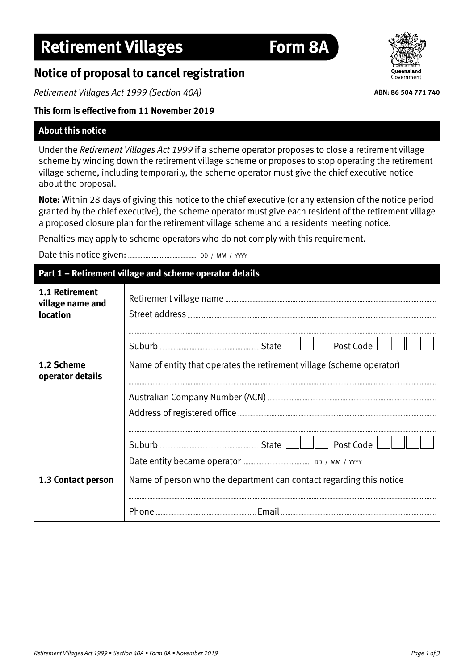# **Notice of proposal to cancel registration**

*Retirement Villages Act 1999 (Section 40A)*

# **This form is effective from 11 November 2019**

#### **About this notice**

Under the *Retirement Villages Act 1999* if a scheme operator proposes to close a retirement village scheme by winding down the retirement village scheme or proposes to stop operating the retirement village scheme, including temporarily, the scheme operator must give the chief executive notice about the proposal.

**Note:** Within 28 days of giving this notice to the chief executive (or any extension of the notice period granted by the chief executive), the scheme operator must give each resident of the retirement village a proposed closure plan for the retirement village scheme and a residents meeting notice.

Penalties may apply to scheme operators who do not comply with this requirement.

Date this notice given: DD / MM / YYYY

# **Part 1 – Retirement village and scheme operator details**

| 1.1 Retirement<br>village name and<br>location | Post Code                                                             |
|------------------------------------------------|-----------------------------------------------------------------------|
| 1.2 Scheme<br>operator details                 | Name of entity that operates the retirement village (scheme operator) |
|                                                | Post Code                                                             |
| 1.3 Contact person                             | Name of person who the department can contact regarding this notice   |
|                                                |                                                                       |



**ABN: 86 504 771 740**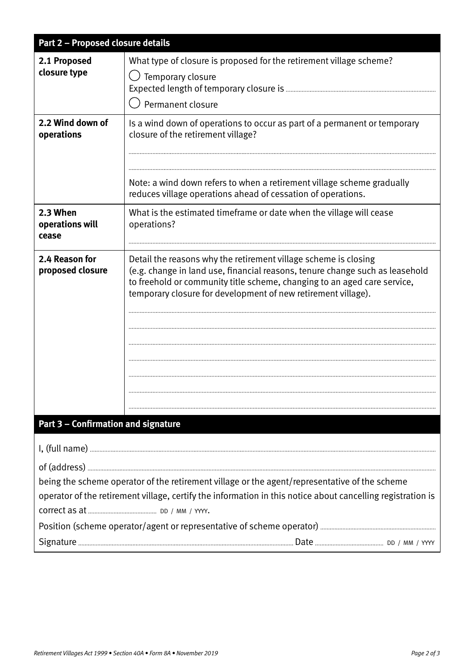| Part 2 - Proposed closure details    |                                                                                                                                                                                                                                                                                              |  |
|--------------------------------------|----------------------------------------------------------------------------------------------------------------------------------------------------------------------------------------------------------------------------------------------------------------------------------------------|--|
| 2.1 Proposed<br>closure type         | What type of closure is proposed for the retirement village scheme?<br>$\bigcirc$ Temporary closure<br>Expected length of temporary closure is<br>Permanent closure                                                                                                                          |  |
| 2.2 Wind down of<br>operations       | Is a wind down of operations to occur as part of a permanent or temporary<br>closure of the retirement village?<br>Note: a wind down refers to when a retirement village scheme gradually<br>reduces village operations ahead of cessation of operations.                                    |  |
| 2.3 When<br>operations will<br>cease | What is the estimated timeframe or date when the village will cease<br>operations?                                                                                                                                                                                                           |  |
| 2.4 Reason for<br>proposed closure   | Detail the reasons why the retirement village scheme is closing<br>(e.g. change in land use, financial reasons, tenure change such as leasehold<br>to freehold or community title scheme, changing to an aged care service,<br>temporary closure for development of new retirement village). |  |
| Part 3 - Confirmation and signature  |                                                                                                                                                                                                                                                                                              |  |
|                                      |                                                                                                                                                                                                                                                                                              |  |
|                                      | being the scheme operator of the retirement village or the agent/representative of the scheme<br>operator of the retirement village, certify the information in this notice about cancelling registration is                                                                                 |  |
|                                      |                                                                                                                                                                                                                                                                                              |  |